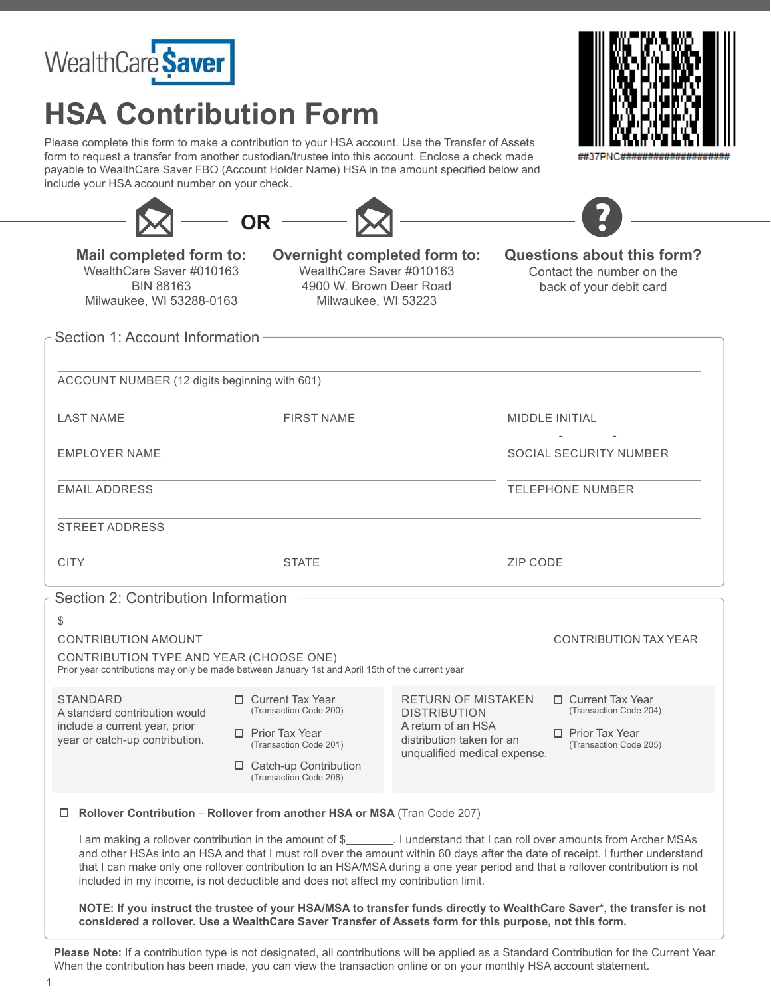

## **HSA Contribution Form**

Please complete this form to make a contribution to your HSA account. Use the Transfer of Assets form to request a transfer from another custodian/trustee into this account. Enclose a check made payable to WealthCare Saver FBO (Account Holder Name) HSA in the amount specified below and include your HSA account number on your check.



| $-$ OR $-$                           |                                     |                            |
|--------------------------------------|-------------------------------------|----------------------------|
| Mail completed form to:              | <b>Overnight completed form to:</b> | Questions about this form? |
| WealthCare Saver #010163             | WealthCare Saver #010163            | Contact the number on the  |
| $P$ <sub>1</sub> $P$ $P$ $P$ $P$ $P$ |                                     |                            |

BIN 88163 Milwaukee, WI 53288-0163 4900 W. Brown Deer Road Milwaukee, WI 53223

back of your debit card

- -

Section 1: Account Information -

(12 digits beginning with 601) ACCOUNT NUMBER

LAST NAME FIRST NAME FIRST NAME MIDDLE INITIAL

EMPLOYER NAME SOCIAL SECURITY NUMBER

EMAIL ADDRESS TELEPHONE NUMBER

STREET ADDRESS

CITY STATE ZIP CODE

Section 2: Contribution Information

| \$                                                                                                                  |                                                                                                                                                                                                                                                                                                                                                                                                                                                                                        |                                                                                                                                     |                                                                                                    |
|---------------------------------------------------------------------------------------------------------------------|----------------------------------------------------------------------------------------------------------------------------------------------------------------------------------------------------------------------------------------------------------------------------------------------------------------------------------------------------------------------------------------------------------------------------------------------------------------------------------------|-------------------------------------------------------------------------------------------------------------------------------------|----------------------------------------------------------------------------------------------------|
| CONTRIBUTION AMOUNT                                                                                                 | <b>CONTRIBUTION TAX YEAR</b>                                                                                                                                                                                                                                                                                                                                                                                                                                                           |                                                                                                                                     |                                                                                                    |
| CONTRIBUTION TYPE AND YEAR (CHOOSE ONE)                                                                             | Prior year contributions may only be made between January 1st and April 15th of the current year                                                                                                                                                                                                                                                                                                                                                                                       |                                                                                                                                     |                                                                                                    |
| <b>STANDARD</b><br>A standard contribution would<br>include a current year, prior<br>year or catch-up contribution. | $\Box$ Current Tax Year<br>(Transaction Code 200)<br><b>Prior Tax Year</b><br>п.<br>(Transaction Code 201)<br>Catch-up Contribution<br>□<br>(Transaction Code 206)                                                                                                                                                                                                                                                                                                                     | <b>RETURN OF MISTAKEN</b><br><b>DISTRIBUTION</b><br>A return of an HSA<br>distribution taken for an<br>unqualified medical expense. | $\Box$ Current Tax Year<br>(Transaction Code 204)<br>Prior Tax Year<br>п<br>(Transaction Code 205) |
| □                                                                                                                   | Rollover Contribution - Rollover from another HSA or MSA (Tran Code 207)                                                                                                                                                                                                                                                                                                                                                                                                               |                                                                                                                                     |                                                                                                    |
|                                                                                                                     | I am making a rollover contribution in the amount of \$_________. I understand that I can roll over amounts from Archer MSAs<br>and other HSAs into an HSA and that I must roll over the amount within 60 days after the date of receipt. I further understand<br>that I can make only one rollover contribution to an HSA/MSA during a one year period and that a rollover contribution is not<br>included in my income, is not deductible and does not affect my contribution limit. |                                                                                                                                     |                                                                                                    |

**NOTE: If you instruct the trustee of your HSA/MSA to transfer funds directly to WealthCare Saver\*, the transfer is not considered a rollover. Use a WealthCare Saver Transfer of Assets form for this purpose, not this form.**

**Please Note:** If a contribution type is not designated, all contributions will be applied as a Standard Contribution for the Current Year. When the contribution has been made, you can view the transaction online or on your monthly HSA account statement.